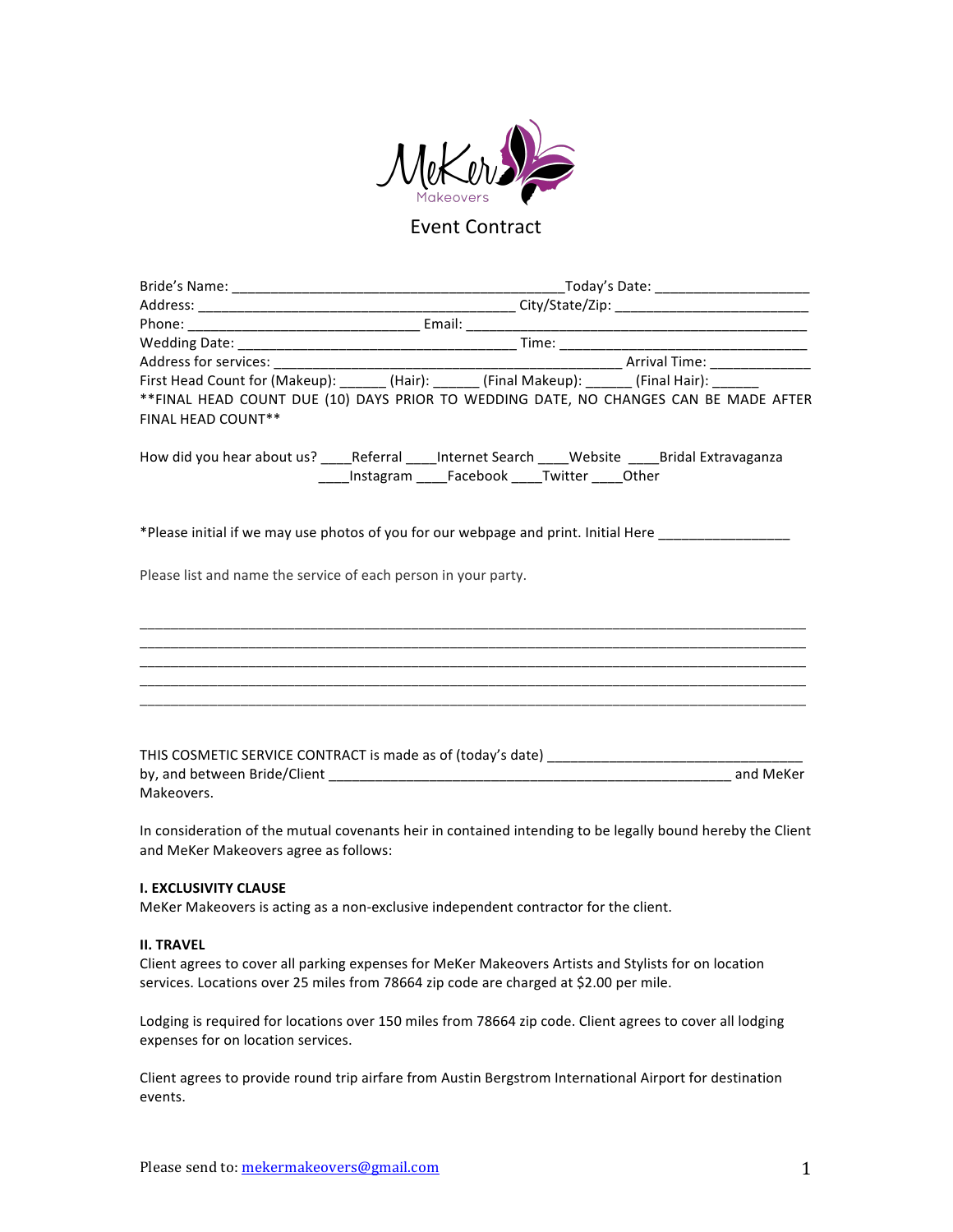

# **Event Contract**

| <b>FINAL HEAD COUNT**</b>                                      | First Head Count for (Makeup): _______ (Hair): _______ (Final Makeup): _______ (Final Hair): _______<br>**FINAL HEAD COUNT DUE (10) DAYS PRIOR TO WEDDING DATE, NO CHANGES CAN BE MADE AFTER                                                   |  |  |  |  |  |
|----------------------------------------------------------------|------------------------------------------------------------------------------------------------------------------------------------------------------------------------------------------------------------------------------------------------|--|--|--|--|--|
|                                                                | How did you hear about us? _____Referral _____Internet Search _____Website _____Bridal Extravaganza<br>____Instagram ____Facebook ____Twitter ____Other                                                                                        |  |  |  |  |  |
|                                                                | *Please initial if we may use photos of you for our webpage and print. Initial Here _______________                                                                                                                                            |  |  |  |  |  |
| Please list and name the service of each person in your party. |                                                                                                                                                                                                                                                |  |  |  |  |  |
|                                                                | <u> 1999 - Johann Harry Harry Harry Harry Harry Harry Harry Harry Harry Harry Harry Harry Harry Harry Harry Harry</u><br><u> 1999 - Johann Harry Harry Harry Harry Harry Harry Harry Harry Harry Harry Harry Harry Harry Harry Harry Harry</u> |  |  |  |  |  |
|                                                                |                                                                                                                                                                                                                                                |  |  |  |  |  |
|                                                                |                                                                                                                                                                                                                                                |  |  |  |  |  |
| Makeovers.                                                     |                                                                                                                                                                                                                                                |  |  |  |  |  |
|                                                                | In consideration of the mutual covenants heir in contained intending to be legally bound hereby the Client                                                                                                                                     |  |  |  |  |  |

and MeKer Makeovers agree as follows:

# **I. EXCLUSIVITY CLAUSE**

MeKer Makeovers is acting as a non-exclusive independent contractor for the client.

#### **II. TRAVEL**

Client agrees to cover all parking expenses for MeKer Makeovers Artists and Stylists for on location services. Locations over 25 miles from 78664 zip code are charged at \$2.00 per mile.

Lodging is required for locations over 150 miles from 78664 zip code. Client agrees to cover all lodging expenses for on location services.

Client agrees to provide round trip airfare from Austin Bergstrom International Airport for destination events.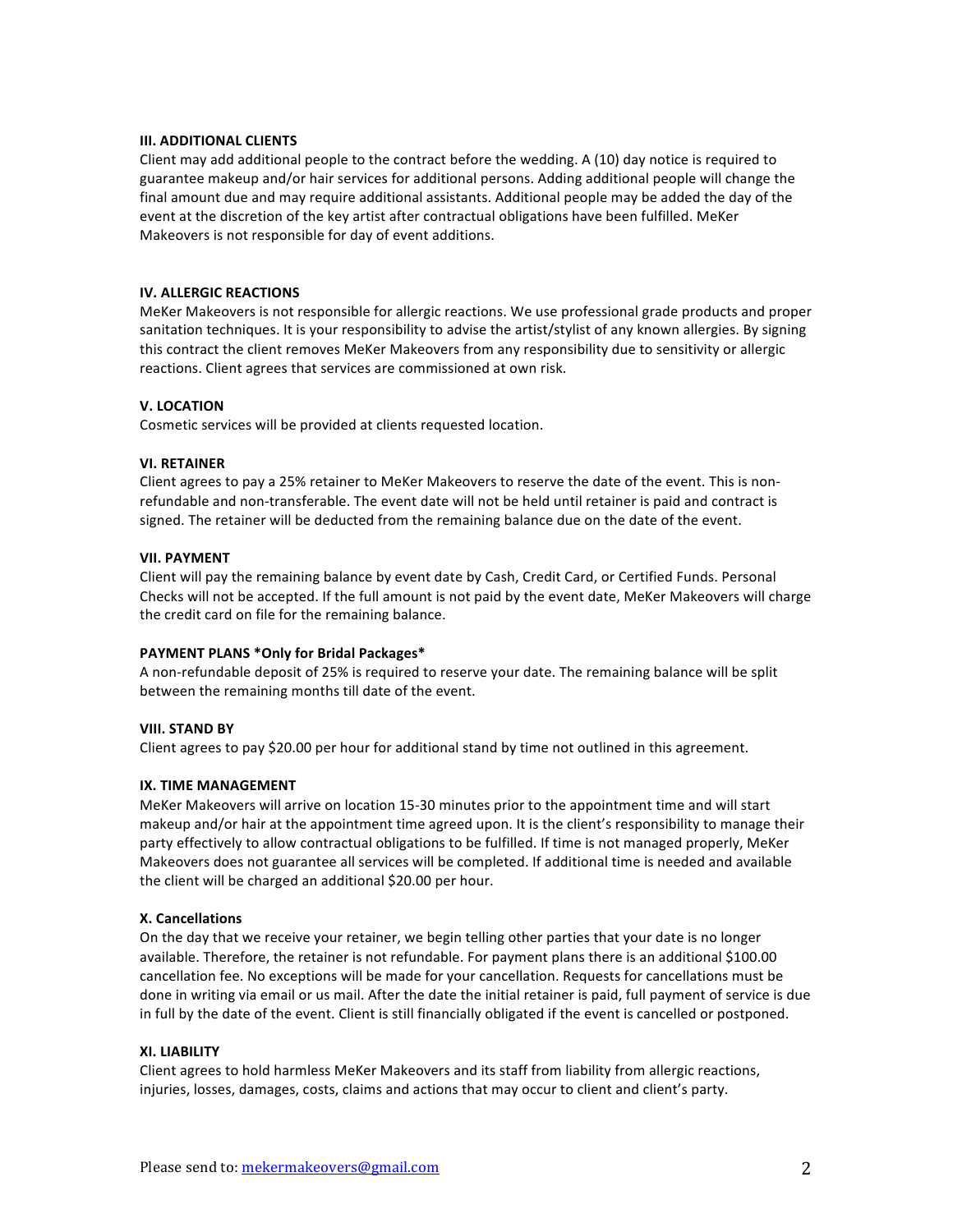# **III. ADDITIONAL CLIENTS**

Client may add additional people to the contract before the wedding. A  $(10)$  day notice is required to guarantee makeup and/or hair services for additional persons. Adding additional people will change the final amount due and may require additional assistants. Additional people may be added the day of the event at the discretion of the key artist after contractual obligations have been fulfilled. MeKer Makeovers is not responsible for day of event additions.

#### **IV. ALLERGIC REACTIONS**

MeKer Makeovers is not responsible for allergic reactions. We use professional grade products and proper sanitation techniques. It is your responsibility to advise the artist/stylist of any known allergies. By signing this contract the client removes MeKer Makeovers from any responsibility due to sensitivity or allergic reactions. Client agrees that services are commissioned at own risk.

# **V. LOCATION**

Cosmetic services will be provided at clients requested location.

# **VI. RETAINER**

Client agrees to pay a 25% retainer to MeKer Makeovers to reserve the date of the event. This is nonrefundable and non-transferable. The event date will not be held until retainer is paid and contract is signed. The retainer will be deducted from the remaining balance due on the date of the event.

#### **VII. PAYMENT**

Client will pay the remaining balance by event date by Cash, Credit Card, or Certified Funds. Personal Checks will not be accepted. If the full amount is not paid by the event date, MeKer Makeovers will charge the credit card on file for the remaining balance.

# **PAYMENT PLANS \*Only for Bridal Packages\***

A non-refundable deposit of 25% is required to reserve your date. The remaining balance will be split between the remaining months till date of the event.

# **VIII. STAND BY**

Client agrees to pay \$20.00 per hour for additional stand by time not outlined in this agreement.

# **IX. TIME MANAGEMENT**

MeKer Makeovers will arrive on location 15-30 minutes prior to the appointment time and will start makeup and/or hair at the appointment time agreed upon. It is the client's responsibility to manage their party effectively to allow contractual obligations to be fulfilled. If time is not managed properly, MeKer Makeovers does not guarantee all services will be completed. If additional time is needed and available the client will be charged an additional \$20.00 per hour.

# **X. Cancellations**

On the day that we receive your retainer, we begin telling other parties that your date is no longer available. Therefore, the retainer is not refundable. For payment plans there is an additional \$100.00 cancellation fee. No exceptions will be made for your cancellation. Requests for cancellations must be done in writing via email or us mail. After the date the initial retainer is paid, full payment of service is due in full by the date of the event. Client is still financially obligated if the event is cancelled or postponed.

# **XI. LIABILITY**

Client agrees to hold harmless MeKer Makeovers and its staff from liability from allergic reactions, injuries, losses, damages, costs, claims and actions that may occur to client and client's party.